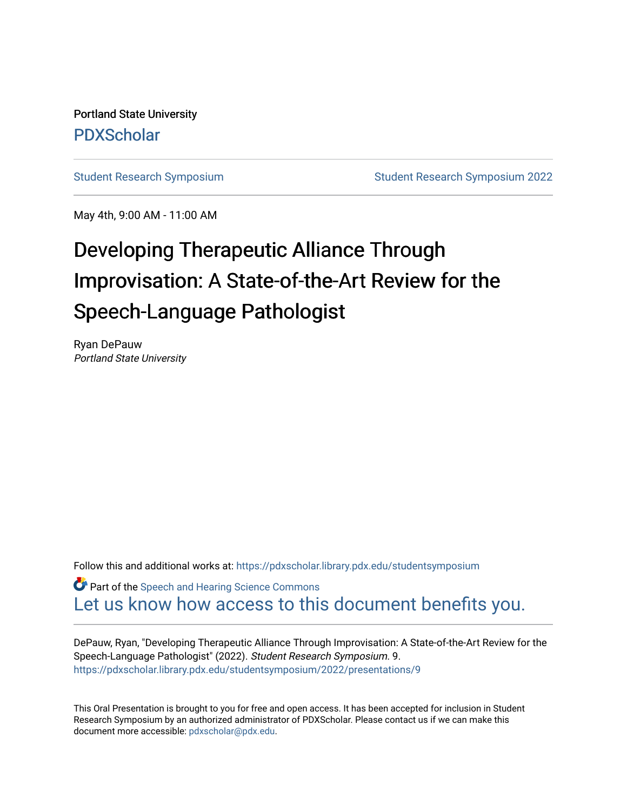Portland State University [PDXScholar](https://pdxscholar.library.pdx.edu/)

[Student Research Symposium](https://pdxscholar.library.pdx.edu/studentsymposium) [Student Research Symposium 2022](https://pdxscholar.library.pdx.edu/studentsymposium/2022) 

May 4th, 9:00 AM - 11:00 AM

### Developing Therapeutic Alliance Through Improvisation: A State-of-the-Art Review for the Speech-Language Pathologist

Ryan DePauw Portland State University

Follow this and additional works at: [https://pdxscholar.library.pdx.edu/studentsymposium](https://pdxscholar.library.pdx.edu/studentsymposium?utm_source=pdxscholar.library.pdx.edu%2Fstudentsymposium%2F2022%2Fpresentations%2F9&utm_medium=PDF&utm_campaign=PDFCoverPages) 

**C** Part of the [Speech and Hearing Science Commons](http://network.bepress.com/hgg/discipline/1033?utm_source=pdxscholar.library.pdx.edu%2Fstudentsymposium%2F2022%2Fpresentations%2F9&utm_medium=PDF&utm_campaign=PDFCoverPages) [Let us know how access to this document benefits you.](http://library.pdx.edu/services/pdxscholar-services/pdxscholar-feedback/) 

DePauw, Ryan, "Developing Therapeutic Alliance Through Improvisation: A State-of-the-Art Review for the Speech-Language Pathologist" (2022). Student Research Symposium. 9. [https://pdxscholar.library.pdx.edu/studentsymposium/2022/presentations/9](https://pdxscholar.library.pdx.edu/studentsymposium/2022/presentations/9?utm_source=pdxscholar.library.pdx.edu%2Fstudentsymposium%2F2022%2Fpresentations%2F9&utm_medium=PDF&utm_campaign=PDFCoverPages)

This Oral Presentation is brought to you for free and open access. It has been accepted for inclusion in Student Research Symposium by an authorized administrator of PDXScholar. Please contact us if we can make this document more accessible: [pdxscholar@pdx.edu.](mailto:pdxscholar@pdx.edu)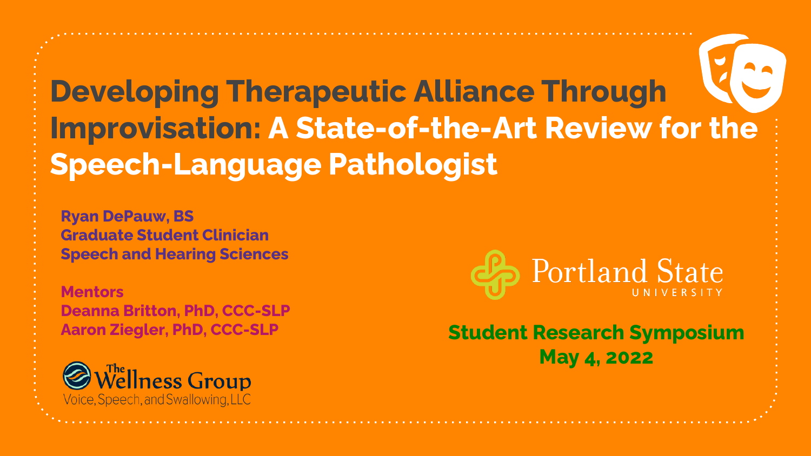Developing Therapeutic Alliance Through Improvisation: A State-of-the-Art Review for the Speech-Language Pathologist

Ryan DePauw, BS Graduate Student Clinician Speech and Hearing Sciences

**Mentors** 

Deanna Britton, PhD, CCC-SLP





Aaron Ziegler, PhD, CCC-SLP Student Research Symposium May 4, 2022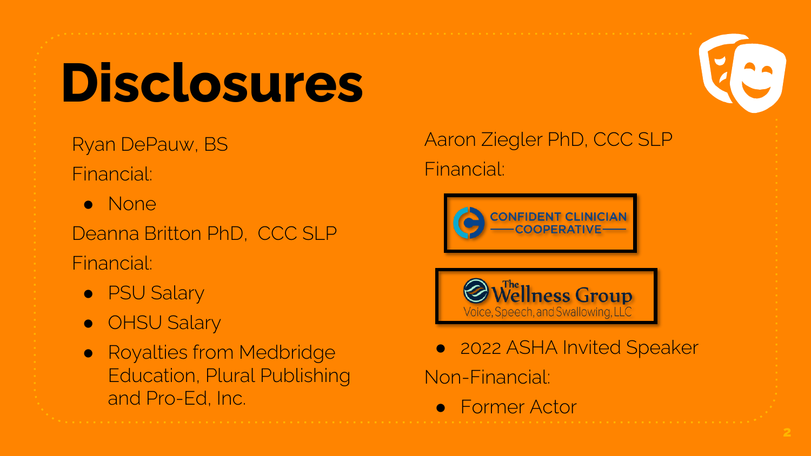# **Disclosures**

Ryan DePauw, BS Financial:

● None

Deanna Britton PhD, CCC SLP Financial:

- PSU Salary
- OHSU Salary
- Royalties from Medbridge Education, Plural Publishing and Pro-Ed, Inc.

Aaron Ziegler PhD, CCC SLP Financial:





● 2022 ASHA Invited Speaker

Non-Financial:

**Former Actor**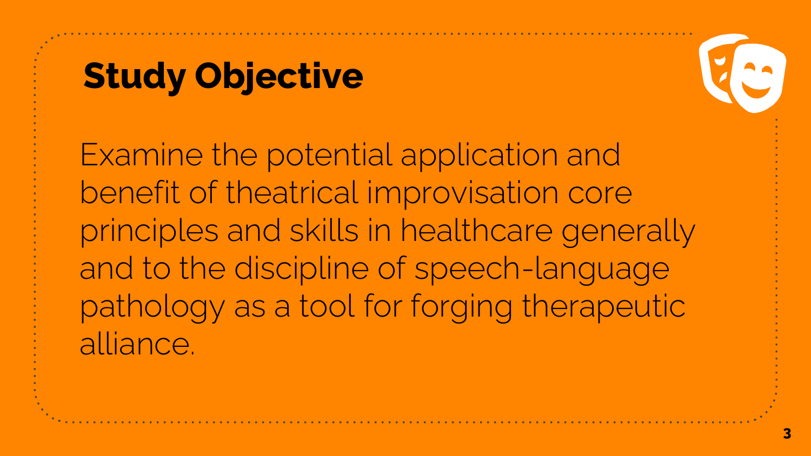### Study Objective



Examine the potential application and benefit of theatrical improvisation core principles and skills in healthcare generally and to the discipline of speech-language pathology as a tool for forging therapeutic alliance.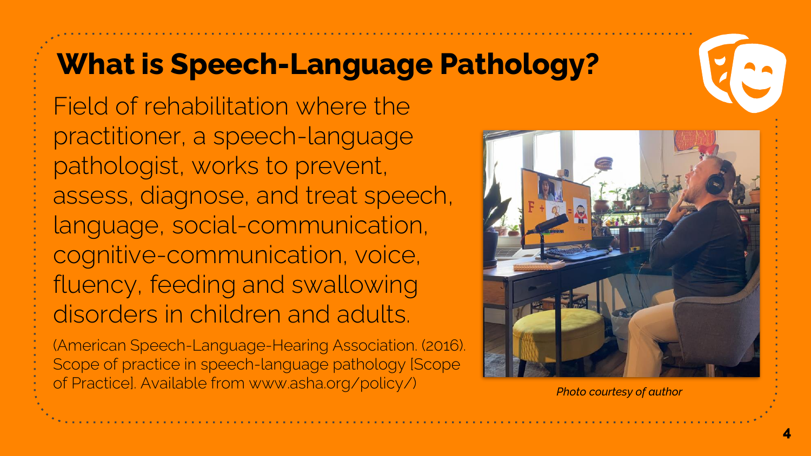### What is Speech-Language Pathology?

Field of rehabilitation where the practitioner, a speech-language pathologist, works to prevent, assess, diagnose, and treat speech, language, social-communication, cognitive-communication, voice, fluency, feeding and swallowing disorders in children and adults.

(American Speech-Language-Hearing Association. (2016). Scope of practice in speech-language pathology [Scope of Practice]. Available from www.asha.org/policy/) *Photo courtesy of author* 

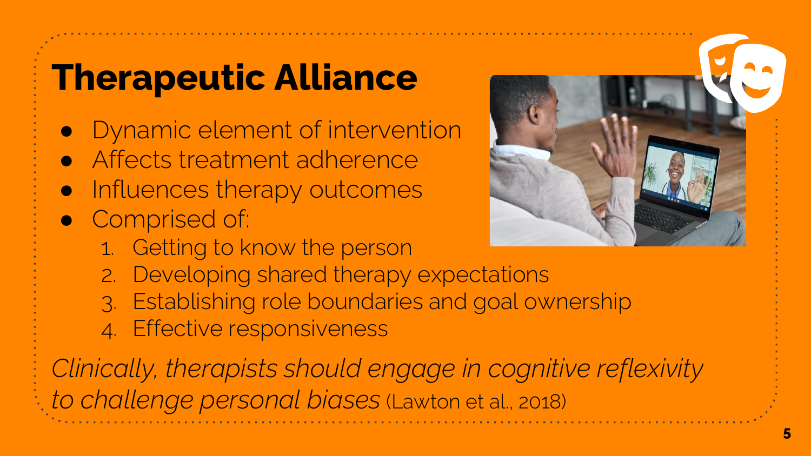### Therapeutic Alliance

- Dynamic element of intervention
- Affects treatment adherence
- Influences therapy outcomes
- Comprised of:
	- 1. Getting to know the person
	- 2. Developing shared therapy expectations
	- 3. Establishing role boundaries and goal ownership
	- 4. Effective responsiveness

*Clinically, therapists should engage in cognitive reflexivity to challenge personal biases* (Lawton et al., 2018)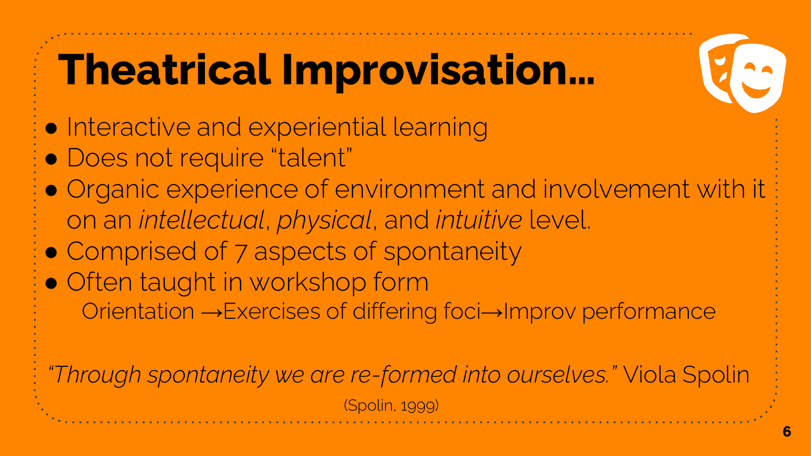# Theatrical Improvisation…

- Interactive and experiential learning
- Does not require "talent"
- Organic experience of environment and involvement with it on an *intellectual*, *physical*, and *intuitive* level.
- Comprised of 7 aspects of spontaneity
- Often taught in workshop form Orientation →Exercises of differing foci→Improv performance

*"Through spontaneity we are re-formed into ourselves."* Viola Spolin

(Spolin, 1999)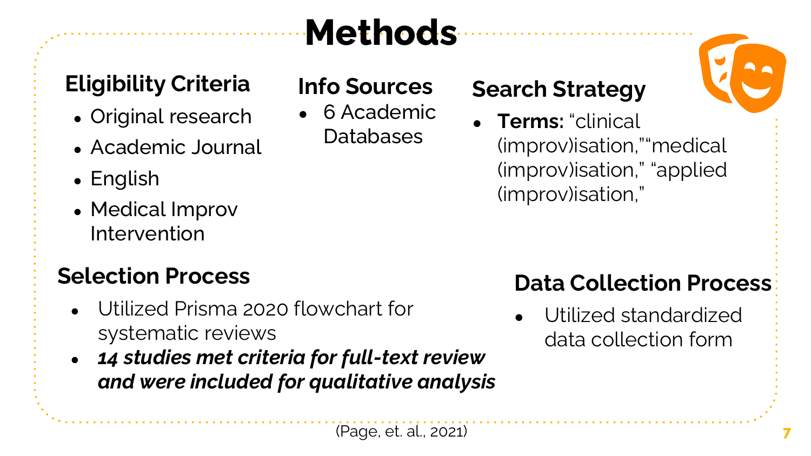## **Methods**

#### **Eligibility Criteria**

- Original research
- Academic Journal
- $\bullet$  English
- Medical Improv Intervention

#### **Selection Process**

- Utilized Prisma 2020 flowchart for systematic reviews
- *14 studies met criteria for full-text review and were included for qualitative analysis*

#### **Info Sources**

• 6 Academic Databases

#### **Search Strategy**

● **Terms:** "clinical (improv)isation,""medical (improv)isation," "applied (improv)isation,"

#### **Data Collection Process**

Utilized standardized data collection form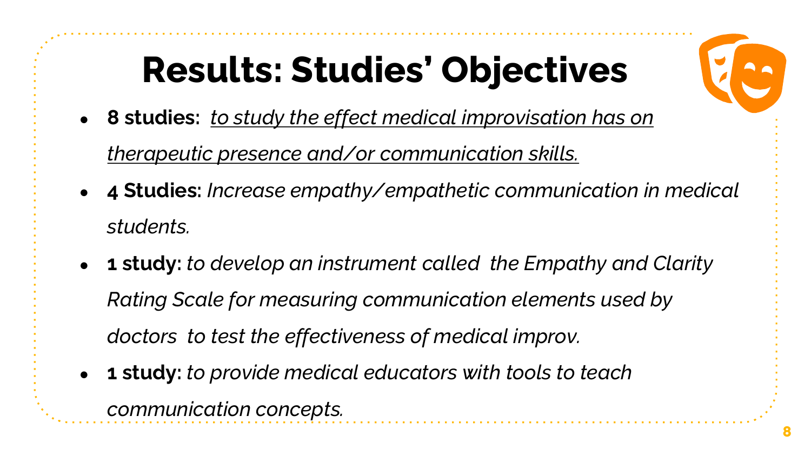## Results: Studies' Objectives



● **8 studies:** *to study the effect medical improvisation has on* 

*therapeutic presence and/or communication skills.*

- **4 Studies:** *Increase empathy/empathetic communication in medical students.*
- **1 study:** *to develop an instrument called the Empathy and Clarity Rating Scale for measuring communication elements used by doctors to test the effectiveness of medical improv.*
- **1 study:** *to provide medical educators with tools to teach communication concepts.*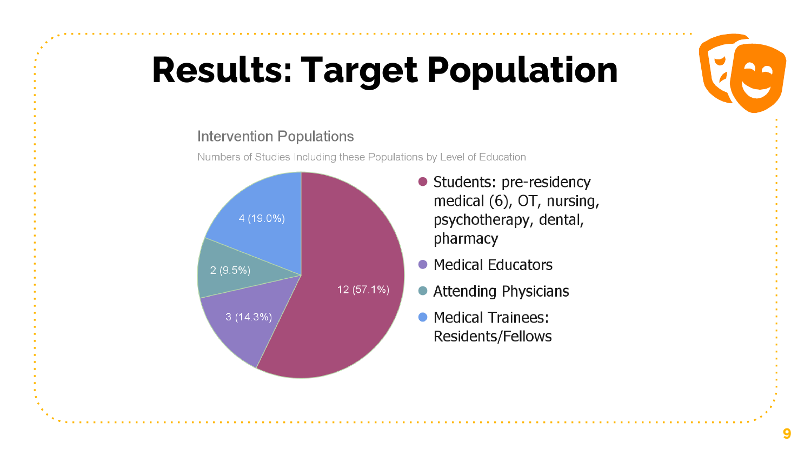

## Results: Target Population

#### **Intervention Populations**

Numbers of Studies Including these Populations by Level of Education



- Students: pre-residency medical (6), OT, nursing, psychotherapy, dental, pharmacy
- Medical Educators
- Attending Physicians
- Medical Trainees: Residents/Fellows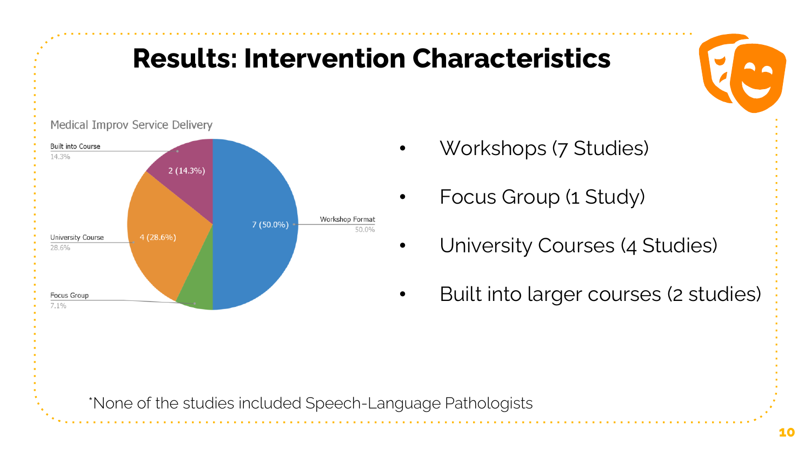### Results: Intervention Characteristics

#### Medical Improv Service Delivery



- Workshops (7 Studies)
- Focus Group (1 Study)
- University Courses (4 Studies)
- Built into larger courses (2 studies)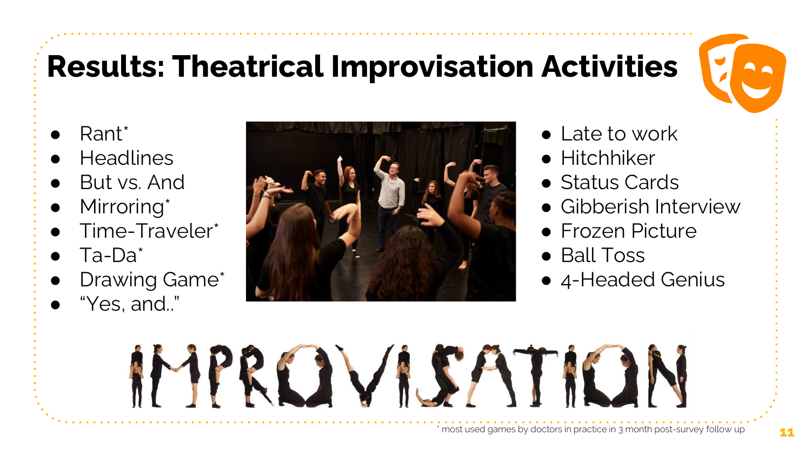### Results: Theatrical Improvisation Activities



- Rant<sup>\*</sup>
- **Headlines**
- But vs. And
- Mirroring<sup>\*</sup>
- Time-Traveler\*
- Ta-Da\*
- Drawing Game\*
- "Yes, and.."



**IMPROVISATION** 

- Late to work
- Hitchhiker
- Status Cards
- Gibberish Interview
- Frozen Picture
- Ball Toss
- 4-Headed Genius

#### \* most used games by doctors in practice in 3 month post-survey follow up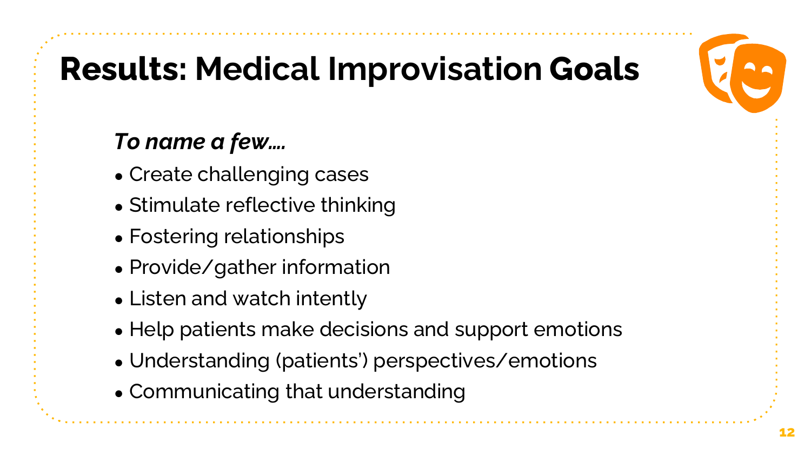

### Results: **Medical Improvisation** Goals

#### *To name a few….*

- Create challenging cases
- Stimulate reflective thinking
- Fostering relationships
- Provide/gather information
- Listen and watch intently
- Help patients make decisions and support emotions
- Understanding (patients') perspectives/emotions
- Communicating that understanding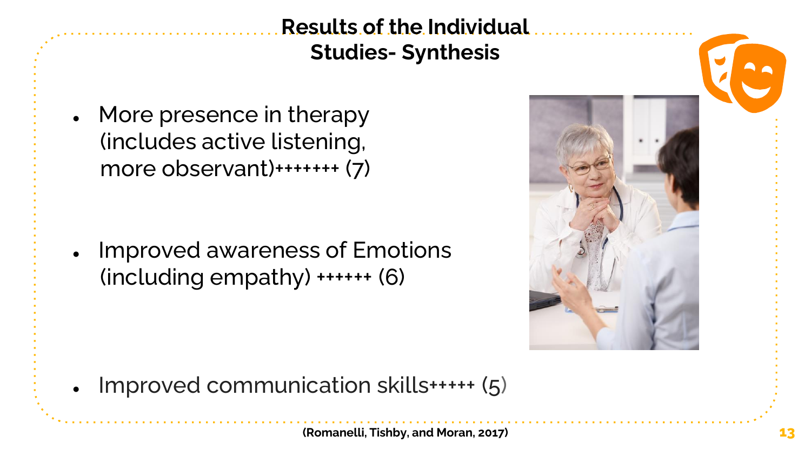#### **Results of the Individual Studies- Synthesis**

• More presence in therapy (includes active listening, more observant)+++++++ (7)

• Improved awareness of Emotions (including empathy) ++++++ (6)



Improved communication skills $++++$  (5)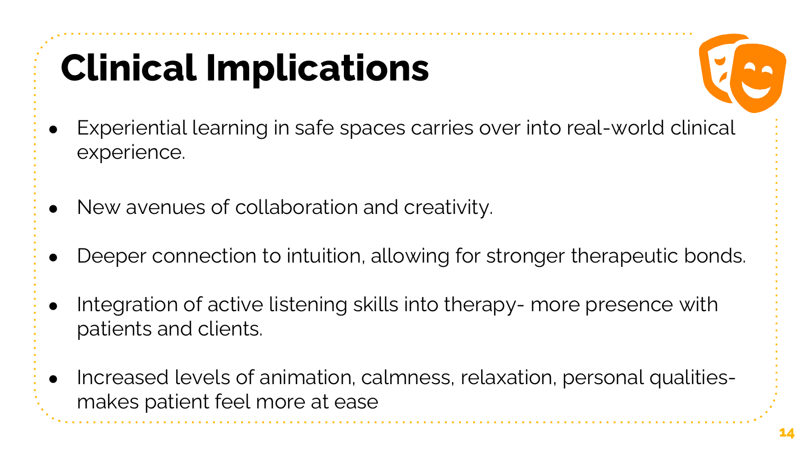## Clinical Implications



- Experiential learning in safe spaces carries over into real-world clinical experience.
- New avenues of collaboration and creativity.
- Deeper connection to intuition, allowing for stronger therapeutic bonds.
- Integration of active listening skills into therapy- more presence with patients and clients.
- Increased levels of animation, calmness, relaxation, personal qualitiesmakes patient feel more at ease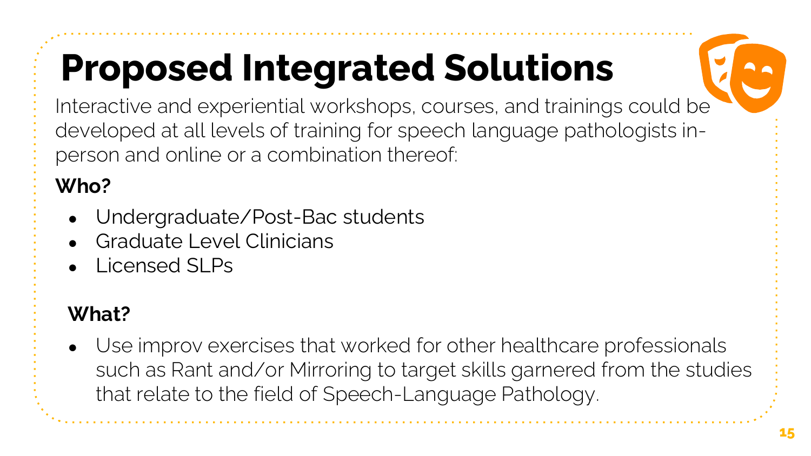# Proposed Integrated Solutions

Interactive and experiential workshops, courses, and trainings could be developed at all levels of training for speech language pathologists inperson and online or a combination thereof:

#### **Who?**

- Undergraduate/Post-Bac students
- Graduate Level Clinicians
- Licensed SLPs

#### **What?**

Use improv exercises that worked for other healthcare professionals such as Rant and/or Mirroring to target skills garnered from the studies that relate to the field of Speech-Language Pathology.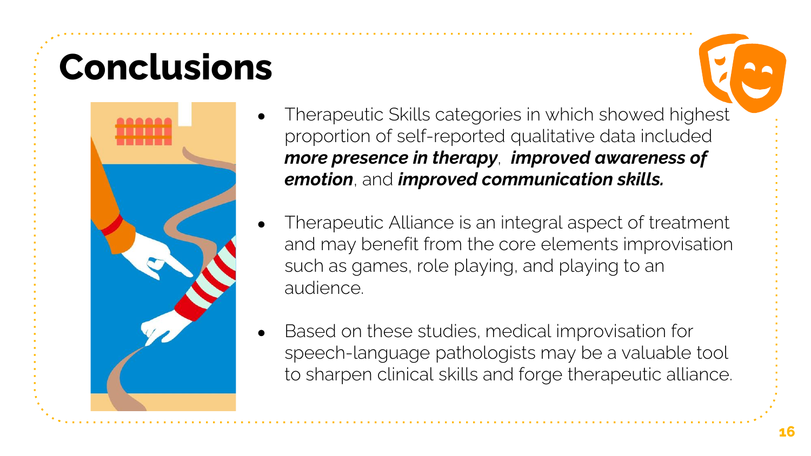### Conclusions



- Therapeutic Skills categories in which showed highest proportion of self-reported qualitative data included *more presence in therapy*, *improved awareness of emotion*, and *improved communication skills.*
- Therapeutic Alliance is an integral aspect of treatment and may benefit from the core elements improvisation such as games, role playing, and playing to an audience.
- Based on these studies, medical improvisation for speech-language pathologists may be a valuable tool to sharpen clinical skills and forge therapeutic alliance.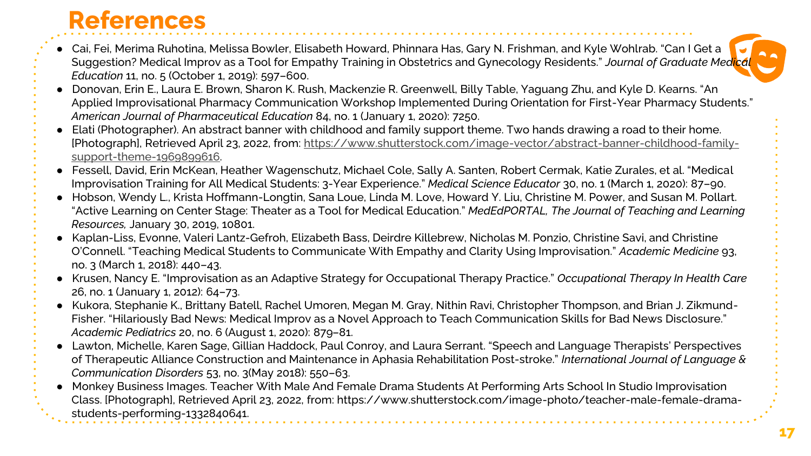#### References

- Cai, Fei, Merima Ruhotina, Melissa Bowler, Elisabeth Howard, Phinnara Has, Gary N. Frishman, and Kyle Wohlrab. "Can I Get a Suggestion? Medical Improv as a Tool for Empathy Training in Obstetrics and Gynecology Residents." *Journal of Graduate Medical Education* 11, no. 5 (October 1, 2019): 597–600.
- Donovan, Erin E., Laura E. Brown, Sharon K. Rush, Mackenzie R. Greenwell, Billy Table, Yaguang Zhu, and Kyle D. Kearns. "An Applied Improvisational Pharmacy Communication Workshop Implemented During Orientation for First-Year Pharmacy Students." *American Journal of Pharmaceutical Education* 84, no. 1 (January 1, 2020): 7250.
- Elati (Photographer). An abstract banner with childhood and family support theme. Two hands drawing a road to their home. [Photograph], Retrieved April 23, 2022, from: [https://www.shutterstock.com/image-vector/abstract-banner-childhood-family](https://www.shutterstock.com/image-vector/abstract-banner-childhood-family-support-theme-1969899616)support-theme-1969899616.
- Fessell, David, Erin McKean, Heather Wagenschutz, Michael Cole, Sally A. Santen, Robert Cermak, Katie Zurales, et al. "Medical Improvisation Training for All Medical Students: 3-Year Experience." *Medical Science Educator* 30, no. 1 (March 1, 2020): 87–90.
- Hobson, Wendy L., Krista Hoffmann-Longtin, Sana Loue, Linda M. Love, Howard Y. Liu, Christine M. Power, and Susan M. Pollart. "Active Learning on Center Stage: Theater as a Tool for Medical Education." *MedEdPORTAL, The Journal of Teaching and Learning Resources,* January 30, 2019, 10801.
- Kaplan-Liss, Evonne, Valeri Lantz-Gefroh, Elizabeth Bass, Deirdre Killebrew, Nicholas M. Ponzio, Christine Savi, and Christine O'Connell. "Teaching Medical Students to Communicate With Empathy and Clarity Using Improvisation." *Academic Medicine* 93, no. 3 (March 1, 2018): 440–43.
- Krusen, Nancy E. "Improvisation as an Adaptive Strategy for Occupational Therapy Practice." *Occupational Therapy In Health Care* 26, no. 1 (January 1, 2012): 64–73.
- Kukora, Stephanie K., Brittany Batell, Rachel Umoren, Megan M. Gray, Nithin Ravi, Christopher Thompson, and Brian J. Zikmund-Fisher. "Hilariously Bad News: Medical Improv as a Novel Approach to Teach Communication Skills for Bad News Disclosure." *Academic Pediatrics* 20, no. 6 (August 1, 2020): 879–81.
- Lawton, Michelle, Karen Sage, Gillian Haddock, Paul Conroy, and Laura Serrant. "Speech and Language Therapists' Perspectives of Therapeutic Alliance Construction and Maintenance in Aphasia Rehabilitation Post‐stroke." *International Journal of Language & Communication Disorders* 53, no. 3(May 2018): 550–63.
- Monkey Business Images. Teacher With Male And Female Drama Students At Performing Arts School In Studio Improvisation Class. [Photograph], Retrieved April 23, 2022, from: https://www.shutterstock.com/image-photo/teacher-male-female-dramastudents-performing-1332840641.